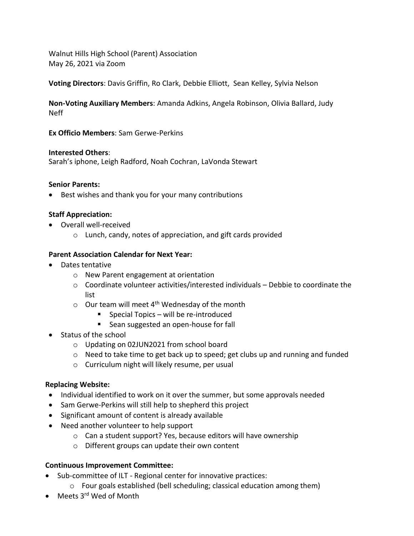Walnut Hills High School (Parent) Association May 26, 2021 via Zoom

**Voting Directors**: Davis Griffin, Ro Clark, Debbie Elliott, Sean Kelley, Sylvia Nelson

**Non-Voting Auxiliary Members**: Amanda Adkins, Angela Robinson, Olivia Ballard, Judy Neff

**Ex Officio Members**: Sam Gerwe-Perkins

## **Interested Others**:

Sarah's iphone, Leigh Radford, Noah Cochran, LaVonda Stewart

## **Senior Parents:**

• Best wishes and thank you for your many contributions

# **Staff Appreciation:**

- Overall well-received
	- o Lunch, candy, notes of appreciation, and gift cards provided

## **Parent Association Calendar for Next Year:**

- Dates tentative
	- o New Parent engagement at orientation
	- $\circ$  Coordinate volunteer activities/interested individuals Debbie to coordinate the list
	- $\circ$  Our team will meet 4<sup>th</sup> Wednesday of the month
		- Special Topics will be re-introduced
		- Sean suggested an open-house for fall
- Status of the school
	- o Updating on 02JUN2021 from school board
	- $\circ$  Need to take time to get back up to speed; get clubs up and running and funded
	- o Curriculum night will likely resume, per usual

# **Replacing Website:**

- Individual identified to work on it over the summer, but some approvals needed
- Sam Gerwe-Perkins will still help to shepherd this project
- Significant amount of content is already available
- Need another volunteer to help support
	- o Can a student support? Yes, because editors will have ownership
	- o Different groups can update their own content

# **Continuous Improvement Committee:**

- Sub-committee of ILT Regional center for innovative practices:
	- o Four goals established (bell scheduling; classical education among them)
- Meets 3<sup>rd</sup> Wed of Month